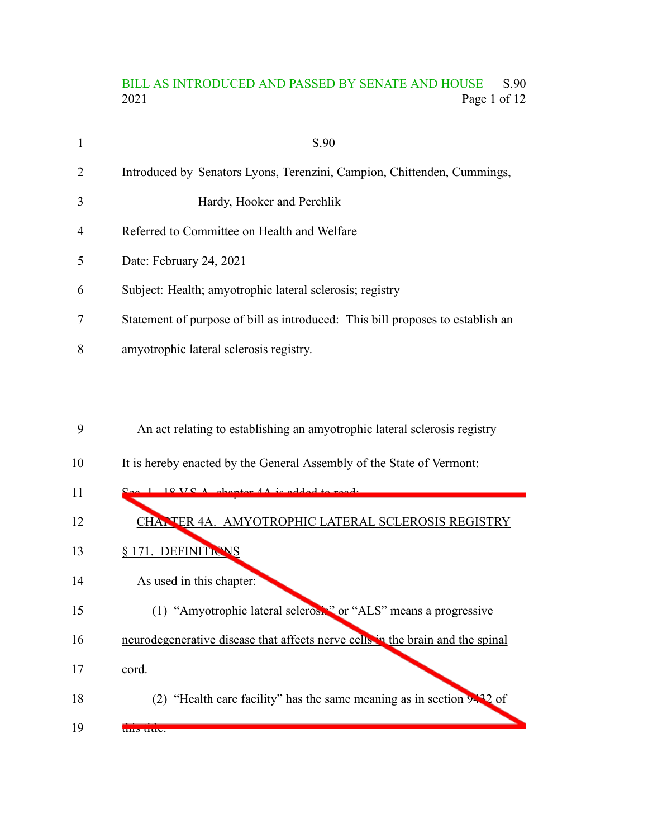## BILL AS INTRODUCED AND PASSED BY SENATE AND HOUSE S.90 2021 Page 1 of 12

| $\mathbf{1}$   | S.90                                                                           |
|----------------|--------------------------------------------------------------------------------|
| 2              | Introduced by Senators Lyons, Terenzini, Campion, Chittenden, Cummings,        |
| 3              | Hardy, Hooker and Perchlik                                                     |
| $\overline{4}$ | Referred to Committee on Health and Welfare                                    |
| 5              | Date: February 24, 2021                                                        |
| 6              | Subject: Health; amyotrophic lateral sclerosis; registry                       |
| 7              | Statement of purpose of bill as introduced: This bill proposes to establish an |
| 8              | amyotrophic lateral sclerosis registry.                                        |

- An act relating to establishing an amyotrophic lateral sclerosis registry 9
- It is hereby enacted by the General Assembly of the State of Vermont: 10

| 11 | $18 \text{ V}S$ A chanter AA is added to read.                                 |
|----|--------------------------------------------------------------------------------|
| 12 | CHANTER 4A. AMYOTROPHIC LATERAL SCLEROSIS REGISTRY                             |
| 13 | § 171. DEFINITIONS                                                             |
| 14 | As used in this chapter:                                                       |
| 15 | (1) "Amyotrophic lateral sclerosis" or "ALS" means a progressive               |
| 16 | neurodegenerative disease that affects nerve cells in the brain and the spinal |
| 17 | cord.                                                                          |
| 18 | "Health care facility" has the same meaning as in section 942 of               |
| 19 | uns uuc.                                                                       |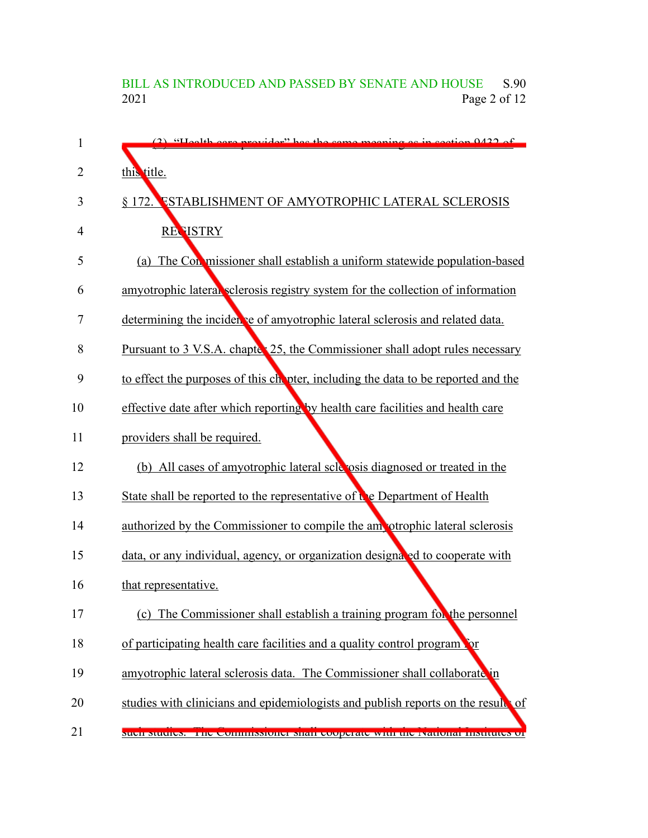# BILL AS INTRODUCED AND PASSED BY SENATE AND HOUSE S.90<br>2021 Page 2 of 12 Page 2 of 12

| 1  | (2) "Health care provider" has the same meaning as in section 0422 of                     |
|----|-------------------------------------------------------------------------------------------|
| 2  | this title.                                                                               |
| 3  | § 172. ESTABLISHMENT OF AMYOTROPHIC LATERAL SCLEROSIS                                     |
| 4  | <b>REVISTRY</b>                                                                           |
| 5  | (a) The Con missioner shall establish a uniform statewide population-based                |
| 6  | amyotrophic lateral sclerosis registry system for the collection of information           |
| 7  | determining the incidence of amyotrophic lateral sclerosis and related data.              |
| 8  | Pursuant to 3 V.S.A. chapter 25, the Commissioner shall adopt rules necessary             |
| 9  | to effect the purposes of this chopter, including the data to be reported and the         |
| 10 | effective date after which reporting by health care facilities and health care            |
| 11 | providers shall be required.                                                              |
| 12 | (b) All cases of amyotrophic lateral scle osis diagnosed or treated in the                |
| 13 | State shall be reported to the representative of <b>t</b> e Department of Health          |
| 14 | authorized by the Commissioner to compile the amvotrophic lateral sclerosis               |
| 15 | data, or any individual, agency, or organization designated to cooperate with             |
| 16 | that representative.                                                                      |
| 17 | (c) The Commissioner shall establish a training program for the personnel                 |
| 18 | of participating health care facilities and a quality control program                     |
| 19 | amyotrophic lateral sclerosis data. The Commissioner shall collaborate in                 |
| 20 | studies with clinicians and epidemiologists and publish reports on the result<br>$\Omega$ |
| 21 | such suttites. The commissioner shall cooperate with the National mstitutes of            |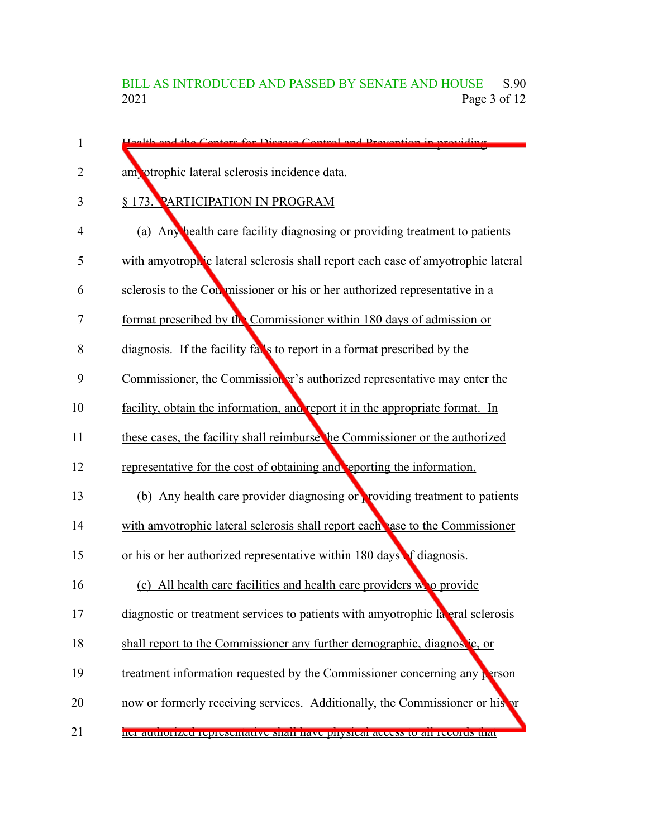# BILL AS INTRODUCED AND PASSED BY SENATE AND HOUSE S.90<br>2021 Page 3 of 12 Page 3 of 12

| $\mathbf{1}$ | Hoolth and the Conters for Disease Control and Prevention in providing            |
|--------------|-----------------------------------------------------------------------------------|
| 2            | am otrophic lateral sclerosis incidence data.                                     |
| 3            | § 173. PARTICIPATION IN PROGRAM                                                   |
| 4            | (a) Any health care facility diagnosing or providing treatment to patients        |
| 5            | with amyotrophic lateral sclerosis shall report each case of amyotrophic lateral  |
| 6            | sclerosis to the Conmissioner or his or her authorized representative in a        |
| 7            | format prescribed by the Commissioner within 180 days of admission or             |
| 8            | diagnosis. If the facility falls to report in a format prescribed by the          |
| 9            | Commissioner, the Commissioner's authorized representative may enter the          |
| 10           | facility, obtain the information, and report it in the appropriate format. In     |
| 11           | these cases, the facility shall reimburse the Commissioner or the authorized      |
| 12           | representative for the cost of obtaining and reporting the information.           |
| 13           | (b) Any health care provider diagnosing or providing treatment to patients        |
| 14           | with amyotrophic lateral sclerosis shall report each ase to the Commissioner      |
| 15           | or his or her authorized representative within 180 days of diagnosis.             |
| 16           | (c) All health care facilities and health care providers who provide              |
| 17           | diagnostic or treatment services to patients with amyotrophic lateral sclerosis   |
| 18           | shall report to the Commissioner any further demographic, diagnosic, or           |
| 19           | treatment information requested by the Commissioner concerning any person         |
| 20           | now or formerly receiving services. Additionally, the Commissioner or his or      |
| 21           | <u>nei authorizeu representative shan have physical access to an records that</u> |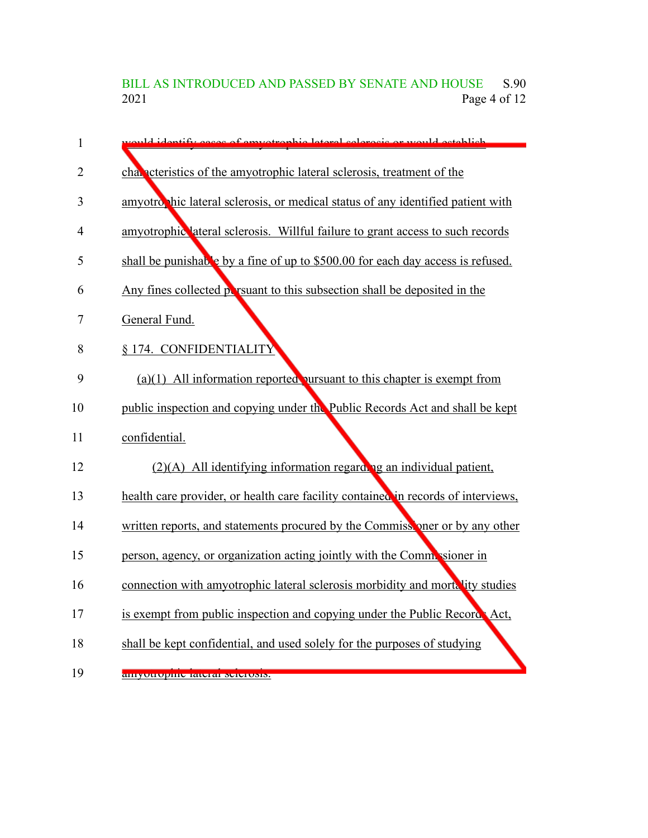BILL AS INTRODUCED AND PASSED BY SENATE AND HOUSE S.90<br>2021 Page 4 of 12 Page 4 of  $12$ 

| $\mathbf{1}$ | quid identify esces of emystrantie leteral selerosis or would establish           |
|--------------|-----------------------------------------------------------------------------------|
| 2            | chalacteristics of the amyotrophic lateral sclerosis, treatment of the            |
|              |                                                                                   |
| 3            | amyotrophic lateral sclerosis, or medical status of any identified patient with   |
| 4            | amyotrophic lateral sclerosis. Willful failure to grant access to such records    |
| 5            | shall be punishable by a fine of up to \$500.00 for each day access is refused.   |
| 6            | Any fines collected persuant to this subsection shall be deposited in the         |
| 7            | General Fund.                                                                     |
| 8            | § 174. CONFIDENTIALITY                                                            |
| 9            | $(a)(1)$ All information reported pursuant to this chapter is exempt from         |
| 10           | public inspection and copying under the Public Records Act and shall be kept      |
| 11           | confidential.                                                                     |
| 12           | $(2)(A)$ All identifying information regarding an individual patient,             |
| 13           | health care provider, or health care facility contained in records of interviews, |
| 14           | written reports, and statements procured by the Commissioner or by any other      |
| 15           | person, agency, or organization acting jointly with the Commissioner in           |
| 16           | connection with amyotrophic lateral sclerosis morbidity and mortality studies     |
| 17           | is exempt from public inspection and copying under the Public Record Act,         |
| 18           | shall be kept confidential, and used solely for the purposes of studying          |
| 19           | <u>amyottopine rateral seletosis.</u>                                             |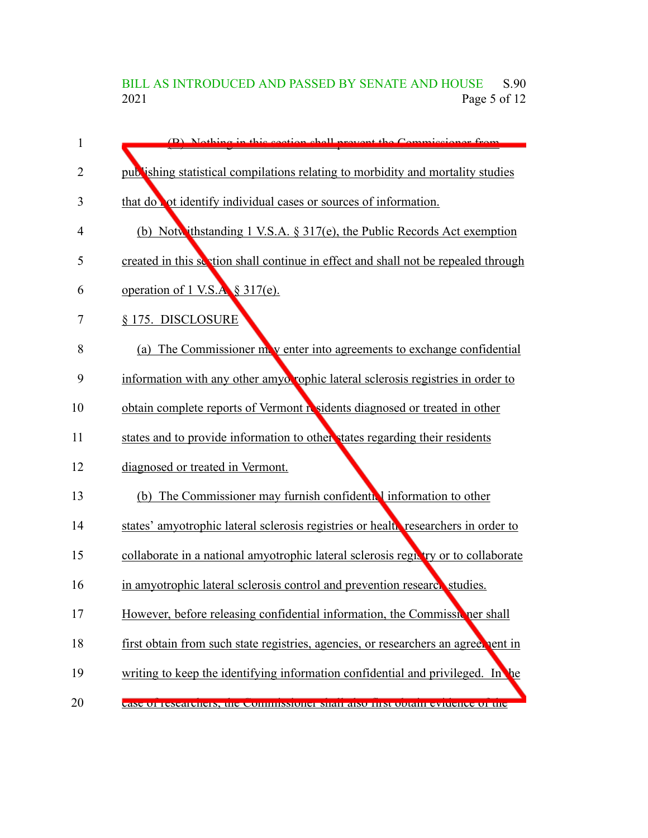BILL AS INTRODUCED AND PASSED BY SENATE AND HOUSE S.90<br>2021 Page 5 of 12 Page 5 of 12

| 1              | (B) Nothing in this soction shall prevent the Commissioner from                    |
|----------------|------------------------------------------------------------------------------------|
| $\overline{2}$ | publishing statistical compilations relating to morbidity and mortality studies    |
| 3              | that do not identify individual cases or sources of information.                   |
| 4              | (b) Notwithstanding 1 V.S.A. $\S 317(e)$ , the Public Records Act exemption        |
| 5              | created in this section shall continue in effect and shall not be repealed through |
| 6              | operation of 1 V.S.A § 317(e).                                                     |
| 7              | § 175. DISCLOSURE                                                                  |
| 8              | (a) The Commissioner move enter into agreements to exchange confidential           |
| 9              | information with any other amyo rophic lateral sclerosis registries in order to    |
| 10             | obtain complete reports of Vermont residents diagnosed or treated in other         |
| 11             | states and to provide information to other states regarding their residents        |
| 12             | diagnosed or treated in Vermont.                                                   |
| 13             | (b) The Commissioner may furnish confidential information to other                 |
| 14             | states' amyotrophic lateral sclerosis registries or health researchers in order to |
| 15             | collaborate in a national amyotrophic lateral sclerosis registry or to collaborate |
| 16             | in amyotrophic lateral sclerosis control and prevention research studies.          |
| 17             | However, before releasing confidential information, the Commissioner shall         |
| 18             | first obtain from such state registries, agencies, or researchers an agreenent in  |
| 19             | writing to keep the identifying information confidential and privileged. In the    |
| 20             | case of researchers, the commissioner shall also hist obtain evidence of the       |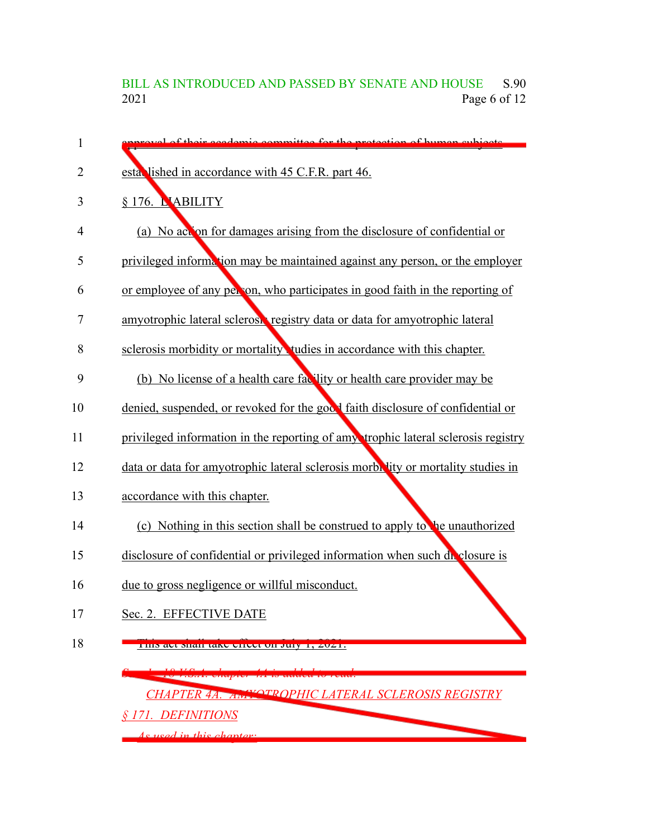# BILL AS INTRODUCED AND PASSED BY SENATE AND HOUSE S.90<br>2021 Page 6 of 12 Page 6 of  $12$

| $\mathbf{1}$   | proval of their academic committee for the protection of human subjects.          |
|----------------|-----------------------------------------------------------------------------------|
| $\overline{2}$ | esta lished in accordance with 45 C.F.R. part 46.                                 |
| 3              | § 176. L'ABILITY                                                                  |
| 4              | (a) No act on for damages arising from the disclosure of confidential or          |
|                |                                                                                   |
| 5              | privileged information may be maintained against any person, or the employer      |
| 6              | or employee of any per on, who participates in good faith in the reporting of     |
| 7              | amyotrophic lateral sclerosi registry data or data for amyotrophic lateral        |
| 8              | sclerosis morbidity or mortality tudies in accordance with this chapter.          |
| 9              | (b) No license of a health care facility or health care provider may be           |
| 10             | denied, suspended, or revoked for the good faith disclosure of confidential or    |
| 11             | privileged information in the reporting of amy trophic lateral sclerosis registry |
| 12             | data or data for amyotrophic lateral sclerosis morbe lity or mortality studies in |
| 13             | accordance with this chapter.                                                     |
| 14             | (c) Nothing in this section shall be construed to apply to the unauthorized       |
| 15             | disclosure of confidential or privileged information when such du closure is      |
| 16             | due to gross negligence or willful misconduct.                                    |
| 17             | Sec. 2. EFFECTIVE DATE                                                            |
| 18             | THIS act shall take effect on July 1, 2021.                                       |
|                |                                                                                   |
|                | CHAPTER 4A. AWYOTROPHIC LATERAL SCLEROSIS REGISTRY                                |
|                | § 171. DEFINITIONS                                                                |
|                | used in this chapter.                                                             |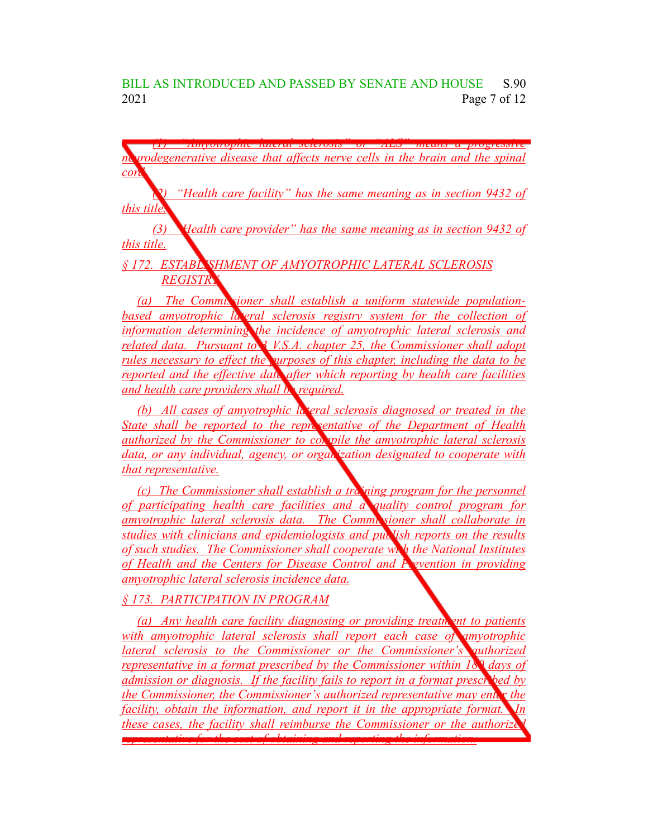*(1) "Amyotrophic lateral sclerosis" or "ALS" means a progressive neurodegenerative disease that affects nerve cells in the brain and the spinal cord.*

*(2) "Health care facility" has the same meaning as in section 9432 of this title.*

*(3) "Health care provider" has the same meaning as in section 9432 of this title.*

## *§ 172. ESTABLISHMENT OF AMYOTROPHIC LATERAL SCLEROSIS REGISTRY*

*(a) The Commissioner shall establish a uniform statewide populationbased amyotrophic lateral sclerosis registry system for the collection of information determining the incidence of amyotrophic lateral sclerosis and related data. Pursuant to 3 V.S.A. chapter 25, the Commissioner shall adopt rules necessary to effect the purposes of this chapter, including the data to be reported and the effective date after which reporting by health care facilities and health care providers shall be required.*

*(b) All cases of amyotrophic lateral sclerosis diagnosed or treated in the State shall be reported to the representative of the Department of Health authorized by the Commissioner to compile the amyotrophic lateral sclerosis data, or any individual, agency, or organization designated to cooperate with that representative.*

*(c) The Commissioner shall establish a training program for the personnel of participating health care facilities and a quality control program for amyotrophic lateral sclerosis data. The Commissioner shall collaborate in studies with clinicians and epidemiologists and publish reports on the results of such studies. The Commissioner shall cooperate with the National Institutes of Health and the Centers for Disease Control and Prevention in providing amyotrophic lateral sclerosis incidence data.*

### *§ 173. PARTICIPATION IN PROGRAM*

*(a) Any health care facility diagnosing or providing treatment to patients with amyotrophic lateral sclerosis shall report each case of amyotrophic lateral sclerosis to the Commissioner or the Commissioner's authorized representative in a format prescribed by the Commissioner within 180 days of admission or diagnosis. If the facility fails to report in a format prescribed by the Commissioner, the Commissioner's authorized representative may enter the facility, obtain the information, and report it in the appropriate format. In these cases, the facility shall reimburse the Commissioner or the authorized representative for the cost of obtaining and reporting the information.*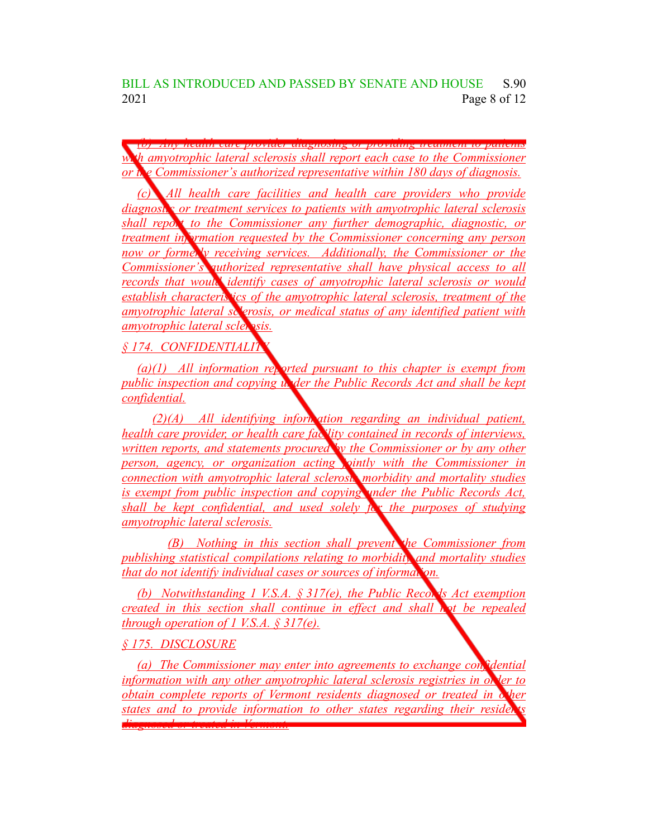BILL AS INTRODUCED AND PASSED BY SENATE AND HOUSE S.90 2021 **Page 8 of 12** 

*(b) Any health care provider diagnosing or providing treatment to patients with amyotrophic lateral sclerosis shall report each case to the Commissioner or the Commissioner's authorized representative within 180 days of diagnosis.*

*(c) All health care facilities and health care providers who provide diagnostic or treatment services to patients with amyotrophic lateral sclerosis shall report to the Commissioner any further demographic, diagnostic, or treatment information requested by the Commissioner concerning any person now or formerly receiving services. Additionally, the Commissioner or the Commissioner's authorized representative shall have physical access to all records that would identify cases of amyotrophic lateral sclerosis or would establish characteristics of the amyotrophic lateral sclerosis, treatment of the amyotrophic lateral sclerosis, or medical status of any identified patient with amyotrophic lateral sclerosis.*

## *§ 174. CONFIDENTIALITY*

*(a)(1) All information reported pursuant to this chapter is exempt from public inspection and copying under the Public Records Act and shall be kept confidential.*

*(2)(A) All identifying information regarding an individual patient, health care provider, or health care facility contained in records of interviews, written reports, and statements procured by the Commissioner or by any other person, agency, or organization acting jointly with the Commissioner in connection with amyotrophic lateral sclerosis morbidity and mortality studies is exempt from public inspection and copying under the Public Records Act, shall be kept confidential, and used solely for the purposes of studying amyotrophic lateral sclerosis.*

*(B) Nothing in this section shall prevent the Commissioner from publishing statistical compilations relating to morbidity and mortality studies that do not identify individual cases or sources of information.*

*(b) Notwithstanding 1 V.S.A. § 317(e), the Public Records Act exemption created in this section shall continue in effect and shall not be repealed through operation of 1 V.S.A. § 317(e).*

#### *§ 175. DISCLOSURE*

*(a) The Commissioner may enter into agreements to exchange confidential information with any other amyotrophic lateral sclerosis registries in order to obtain complete reports of Vermont residents diagnosed or treated in other <u>states and to provide information to other states regarding their residering in the in the in the in the in the in the in the in the in the in the in the in the in the in the in the in the in the in the in the in the in*</u> *diagnosed or treated in Vermont.*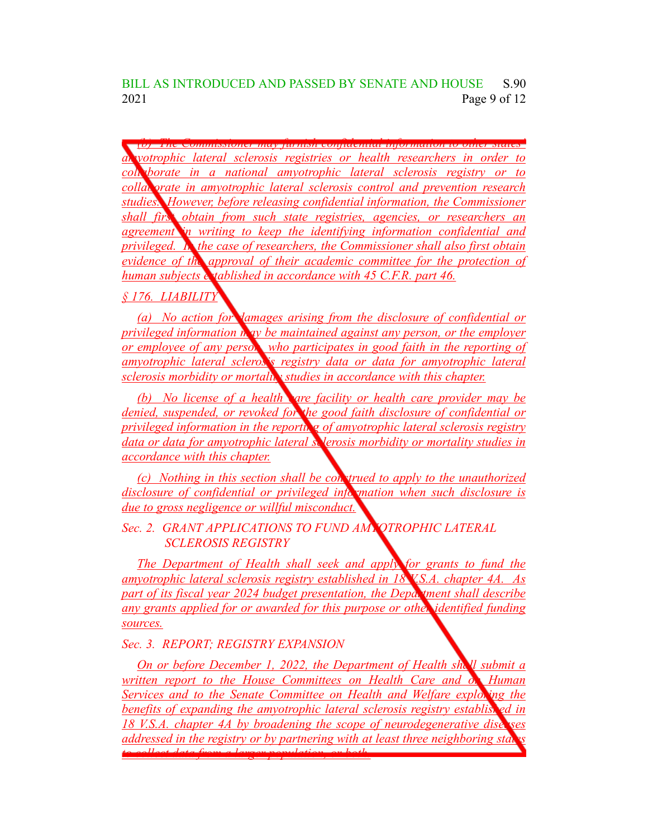*(b) The Commissioner may furnish confidential information to other states' amyotrophic lateral sclerosis registries or health researchers in order to collaborate in a national amyotrophic lateral sclerosis registry or to collaborate in amyotrophic lateral sclerosis control and prevention research studies. However, before releasing confidential information, the Commissioner shall first obtain from such state registries, agencies, or researchers an agreement in writing to keep the identifying information confidential and privileged. In the case of researchers, the Commissioner shall also first obtain evidence of the approval of their academic committee for the protection of human subjects established in accordance with 45 C.F.R. part 46.*

### *§ 176. LIABILITY*

*(a) No action for damages arising from the disclosure of confidential or privileged information may be maintained against any person, or the employer or employee of any person, who participates in good faith in the reporting of amyotrophic lateral sclerosis registry data or data for amyotrophic lateral sclerosis morbidity or mortality studies in accordance with this chapter.* 

*(b) No license of a health care facility or health care provider may be denied, suspended, or revoked for the good faith disclosure of confidential or privileged information in the reporting of amyotrophic lateral sclerosis registry data or data for amyotrophic lateral sclerosis morbidity or mortality studies in accordance with this chapter.*

*(c) Nothing in this section shall be construed to apply to the unauthorized disclosure of confidential or privileged information when such disclosure is due to gross negligence or willful misconduct.*

*Sec. 2. GRANT APPLICATIONS TO FUND AMYOTROPHIC LATERAL SCLEROSIS REGISTRY*

*The Department of Health shall seek and apply for grants to fund the amyotrophic lateral sclerosis registry established in 18 V.S.A. chapter 4A. As part of its fiscal year 2024 budget presentation, the Department shall describe any grants applied for or awarded for this purpose or other identified funding sources.*

*Sec. 3. REPORT; REGISTRY EXPANSION*

*On or before December 1, 2022, the Department of Health shall submit a written report to the House Committees on Health Care and on Human Services and to the Senate Committee on Health and Welfare exploring the benefits of expanding the amyotrophic lateral sclerosis registry established in 18 V.S.A. chapter 4A by broadening the scope of neurodegenerative diseases addressed* in the registry or by partnering with at least three neighboring states *to collect data from a larger population, or both.*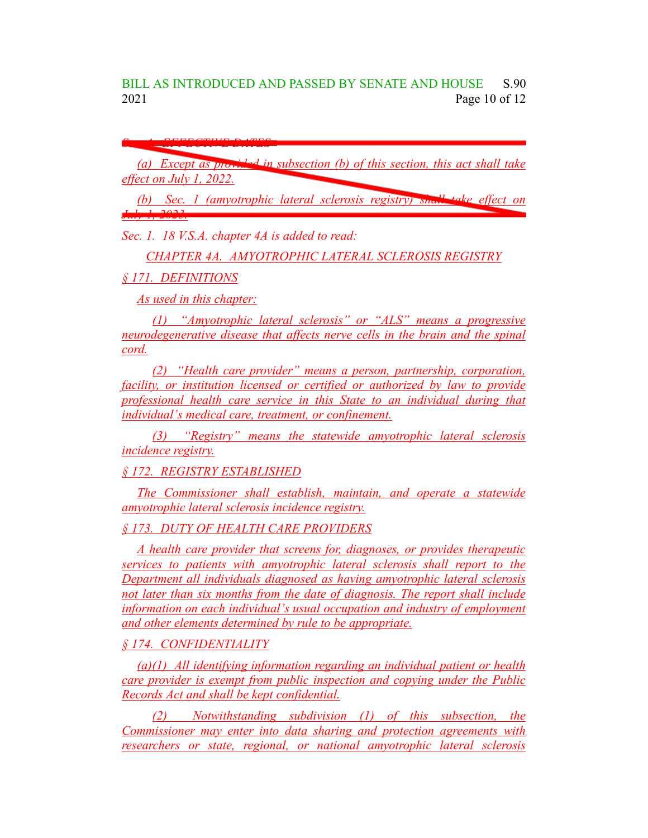BILL AS INTRODUCED AND PASSED BY SENATE AND HOUSE S.90 2021 Page 10 of 12

*Sec. 4. EFFECTIVE DATES*

*(a) Except as provided in subsection (b) of this section, this act shall take effect on July 1, 2022.*

*(b) Sec. 1 (amyotrophic lateral sclerosis registry) shall take effect on July 1, 2023.*

*Sec. 1. 18 V.S.A. chapter 4A is added to read:*

*CHAPTER 4A. AMYOTROPHIC LATERAL SCLEROSIS REGISTRY*

*§ 171. DEFINITIONS*

*As used in this chapter:*

*(1) "Amyotrophic lateral sclerosis" or "ALS" means a progressive neurodegenerative disease that affects nerve cells in the brain and the spinal cord.*

*(2) "Health care provider" means a person, partnership, corporation, facility, or institution licensed or certified or authorized by law to provide professional health care service in this State to an individual during that individual's medical care, treatment, or confinement.*

*(3) "Registry" means the statewide amyotrophic lateral sclerosis incidence registry.*

*§ 172. REGISTRY ESTABLISHED*

*The Commissioner shall establish, maintain, and operate a statewide amyotrophic lateral sclerosis incidence registry.*

*§ 173. DUTY OF HEALTH CARE PROVIDERS*

*A health care provider that screens for, diagnoses, or provides therapeutic services to patients with amyotrophic lateral sclerosis shall report to the Department all individuals diagnosed as having amyotrophic lateral sclerosis not later than six months from the date of diagnosis. The report shall include information on each individual's usual occupation and industry of employment and other elements determined by rule to be appropriate.*

*§ 174. CONFIDENTIALITY*

*(a)(1) All identifying information regarding an individual patient or health care provider is exempt from public inspection and copying under the Public Records Act and shall be kept confidential.*

*(2) Notwithstanding subdivision (1) of this subsection, the Commissioner may enter into data sharing and protection agreements with researchers or state, regional, or national amyotrophic lateral sclerosis*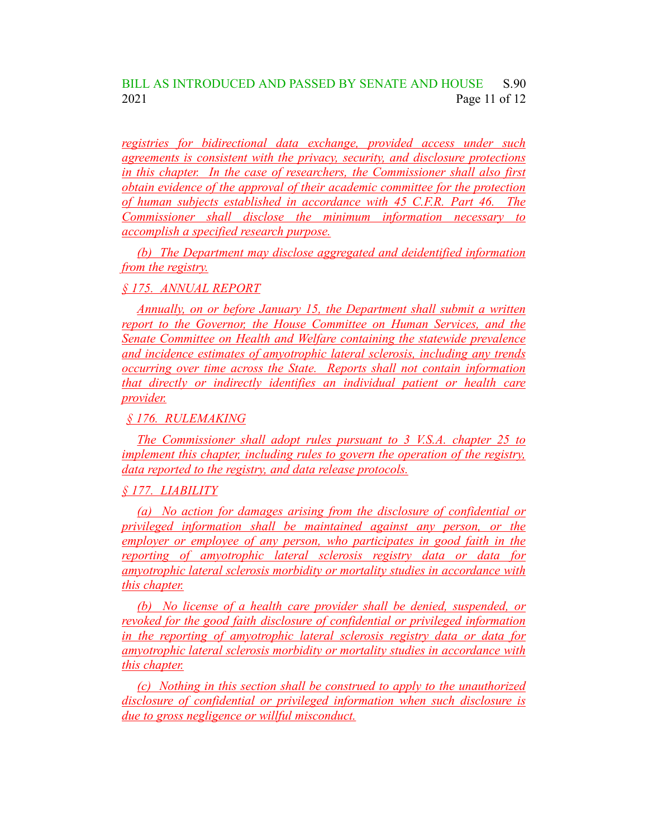## BILL AS INTRODUCED AND PASSED BY SENATE AND HOUSE S.90 2021 Page 11 of 12

*registries for bidirectional data exchange, provided access under such agreements is consistent with the privacy, security, and disclosure protections in this chapter. In the case of researchers, the Commissioner shall also first obtain evidence of the approval of their academic committee for the protection of human subjects established in accordance with 45 C.F.R. Part 46. The Commissioner shall disclose the minimum information necessary to accomplish a specified research purpose.*

*(b) The Department may disclose aggregated and deidentified information from the registry.*

### *§ 175. ANNUAL REPORT*

*Annually, on or before January 15, the Department shall submit a written report to the Governor, the House Committee on Human Services, and the Senate Committee on Health and Welfare containing the statewide prevalence and incidence estimates of amyotrophic lateral sclerosis, including any trends occurring over time across the State. Reports shall not contain information that directly or indirectly identifies an individual patient or health care provider.*

#### *§ 176. RULEMAKING*

*The Commissioner shall adopt rules pursuant to 3 V.S.A. chapter 25 to implement this chapter, including rules to govern the operation of the registry, data reported to the registry, and data release protocols.*

#### *§ 177. LIABILITY*

*(a) No action for damages arising from the disclosure of confidential or privileged information shall be maintained against any person, or the employer or employee of any person, who participates in good faith in the reporting of amyotrophic lateral sclerosis registry data or data for amyotrophic lateral sclerosis morbidity or mortality studies in accordance with this chapter.*

*(b) No license of a health care provider shall be denied, suspended, or revoked for the good faith disclosure of confidential or privileged information in the reporting of amyotrophic lateral sclerosis registry data or data for amyotrophic lateral sclerosis morbidity or mortality studies in accordance with this chapter.*

*(c) Nothing in this section shall be construed to apply to the unauthorized disclosure of confidential or privileged information when such disclosure is due to gross negligence or willful misconduct.*